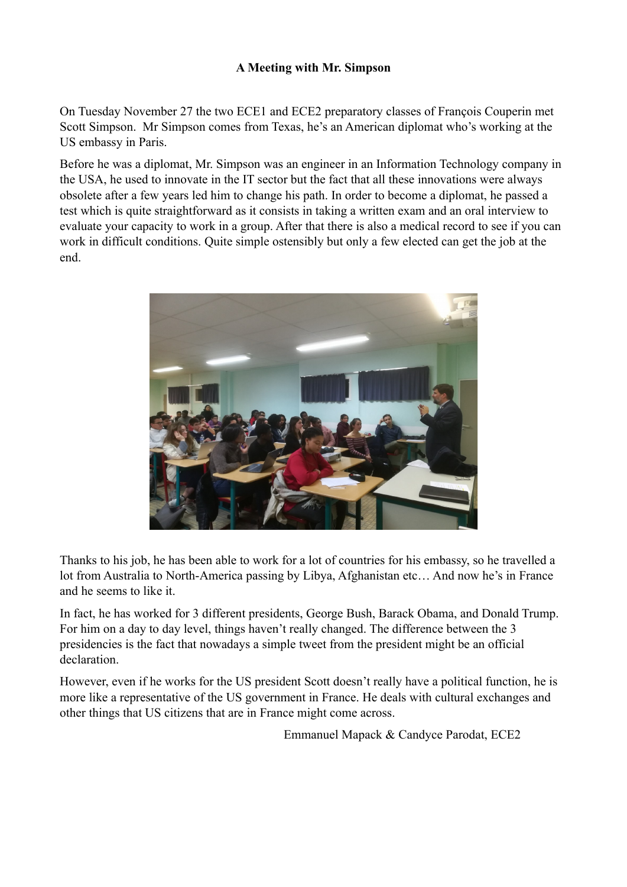## **A Meeting with Mr. Simpson**

On Tuesday November 27 the two ECE1 and ECE2 preparatory classes of François Couperin met Scott Simpson. Mr Simpson comes from Texas, he's an American diplomat who's working at the US embassy in Paris.

Before he was a diplomat, Mr. Simpson was an engineer in an Information Technology company in the USA, he used to innovate in the IT sector but the fact that all these innovations were always obsolete after a few years led him to change his path. In order to become a diplomat, he passed a test which is quite straightforward as it consists in taking a written exam and an oral interview to evaluate your capacity to work in a group. After that there is also a medical record to see if you can work in difficult conditions. Quite simple ostensibly but only a few elected can get the job at the end.



Thanks to his job, he has been able to work for a lot of countries for his embassy, so he travelled a lot from Australia to North-America passing by Libya, Afghanistan etc… And now he's in France and he seems to like it.

In fact, he has worked for 3 different presidents, George Bush, Barack Obama, and Donald Trump. For him on a day to day level, things haven't really changed. The difference between the 3 presidencies is the fact that nowadays a simple tweet from the president might be an official declaration.

However, even if he works for the US president Scott doesn't really have a political function, he is more like a representative of the US government in France. He deals with cultural exchanges and other things that US citizens that are in France might come across.

Emmanuel Mapack & Candyce Parodat, ECE2